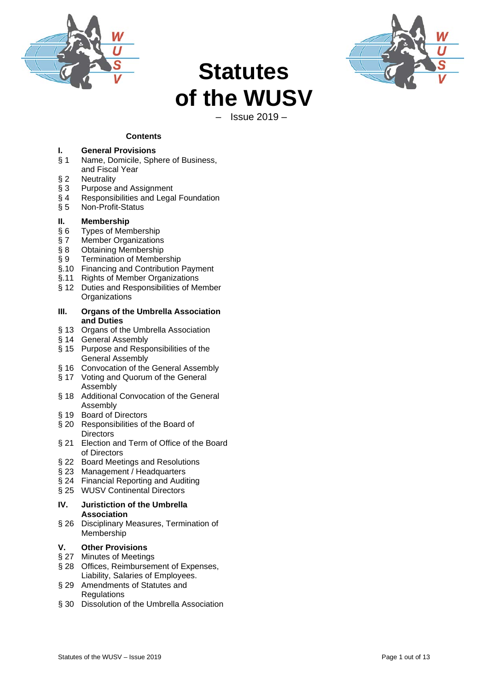



# **Statutes of the WUSV**

– Issue 2019 –

#### **Contents**

# **I. General Provisions**

- Name, Domicile, Sphere of Business,
- and Fiscal Year
- 
- § 2 Neutrality<br>§ 3 Purpose a
- § 3 Purpose and Assignment<br>§ 4 Responsibilities and Lega § 4 Responsibilities and Legal Foundation<br>§ 5 Non-Profit-Status
- § 5 Non-Profit-Status

# **II. Membership**<br>§ 6 Types of Mem

- 
- § 6 Types of Membership<br>§ 7 Member Organizations § 7 Member Organizations<br>§ 8 Obtaining Membership
- 
- § 8 Obtaining Membership<br>§ 9 Termination of Member Termination of Membership
- §.10 Financing and Contribution Payment
- §.11 Rights of Member Organizations
- § 12 Duties and Responsibilities of Member **Organizations**

#### **III. Organs of the Umbrella Association and Duties**

- § 13 Organs of the Umbrella Association
- § 14 General Assembly
- § 15 Purpose and Responsibilities of the General Assembly
- § 16 Convocation of the General Assembly
- § 17 Voting and Quorum of the General Assembly
- § 18 Additional Convocation of the General Assembly
- § 19 Board of Directors
- § 20 Responsibilities of the Board of **Directors**
- § 21 Election and Term of Office of the Board of Directors
- § 22 Board Meetings and Resolutions
- § 23 Management / Headquarters
- § 24 Financial Reporting and Auditing
- § 25 WUSV Continental Directors

#### **IV. Juristiction of the Umbrella Association**

§ 26 Disciplinary Measures, Termination of Membership

#### **V. Other Provisions**

- § 27 Minutes of Meetings
- § 28 Offices, Reimbursement of Expenses, Liability, Salaries of Employees.
- § 29 Amendments of Statutes and **Regulations**
- § 30 Dissolution of the Umbrella Association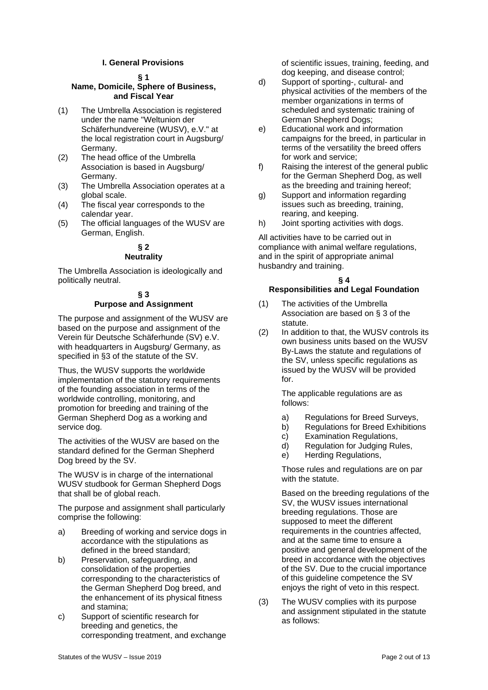#### **I. General Provisions**

#### **§ 1**

#### **Name, Domicile, Sphere of Business, and Fiscal Year**

- (1) The Umbrella Association is registered under the name "Weltunion der Schäferhundvereine (WUSV), e.V." at the local registration court in Augsburg/ Germany.
- (2) The head office of the Umbrella Association is based in Augsburg/ Germany.
- (3) The Umbrella Association operates at a global scale.
- (4) The fiscal year corresponds to the calendar year.
- (5) The official languages of the WUSV are German, English.

#### **§ 2 Neutrality**

The Umbrella Association is ideologically and politically neutral.

#### **§ 3 Purpose and Assignment**

The purpose and assignment of the WUSV are based on the purpose and assignment of the Verein für Deutsche Schäferhunde (SV) e.V. with headquarters in Augsburg/ Germany, as specified in §3 of the statute of the SV.

Thus, the WUSV supports the worldwide implementation of the statutory requirements of the founding association in terms of the worldwide controlling, monitoring, and promotion for breeding and training of the German Shepherd Dog as a working and service dog.

The activities of the WUSV are based on the standard defined for the German Shepherd Dog breed by the SV.

The WUSV is in charge of the international WUSV studbook for German Shepherd Dogs that shall be of global reach.

The purpose and assignment shall particularly comprise the following:

- a) Breeding of working and service dogs in accordance with the stipulations as defined in the breed standard;
- b) Preservation, safeguarding, and consolidation of the properties corresponding to the characteristics of the German Shepherd Dog breed, and the enhancement of its physical fitness and stamina;
- c) Support of scientific research for breeding and genetics, the corresponding treatment, and exchange

of scientific issues, training, feeding, and dog keeping, and disease control;

- d) Support of sporting-, cultural- and physical activities of the members of the member organizations in terms of scheduled and systematic training of German Shepherd Dogs;
- e) Educational work and information campaigns for the breed, in particular in terms of the versatility the breed offers for work and service;
- f) Raising the interest of the general public for the German Shepherd Dog, as well as the breeding and training hereof;
- g) Support and information regarding issues such as breeding, training, rearing, and keeping.
- h) Joint sporting activities with dogs.

All activities have to be carried out in compliance with animal welfare regulations, and in the spirit of appropriate animal husbandry and training.

### **§ 4**

#### **Responsibilities and Legal Foundation**

- (1) The activities of the Umbrella Association are based on § 3 of the statute.
- (2) In addition to that, the WUSV controls its own business units based on the WUSV By-Laws the statute and regulations of the SV, unless specific regulations as issued by the WUSV will be provided for.

The applicable regulations are as follows:

- a) Regulations for Breed Surveys,<br>b) Regulations for Breed Exhibition
- b) Regulations for Breed Exhibitions
- c) Examination Regulations,
- d) Regulation for Judging Rules,
- e) Herding Regulations,

Those rules and regulations are on par with the statute.

Based on the breeding regulations of the SV, the WUSV issues international breeding regulations. Those are supposed to meet the different requirements in the countries affected, and at the same time to ensure a positive and general development of the breed in accordance with the objectives of the SV. Due to the crucial importance of this guideline competence the SV enjoys the right of veto in this respect.

(3) The WUSV complies with its purpose and assignment stipulated in the statute as follows: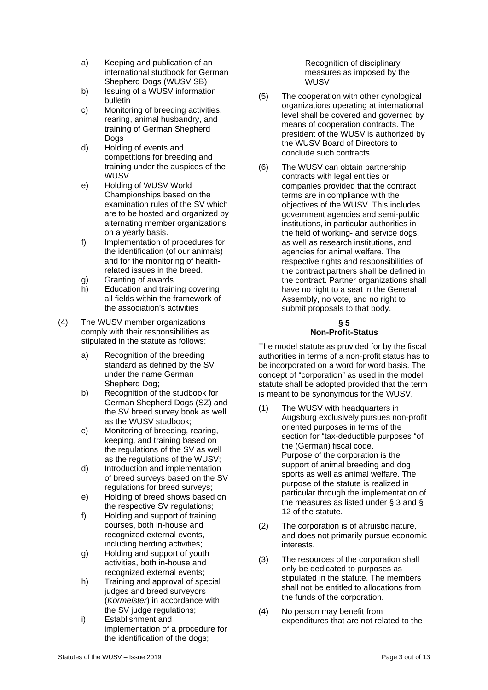- a) Keeping and publication of an international studbook for German Shepherd Dogs (WUSV SB)
- b) Issuing of a WUSV information bulletin
- c) Monitoring of breeding activities, rearing, animal husbandry, and training of German Shepherd Dogs
- d) Holding of events and competitions for breeding and training under the auspices of the WUSV
- e) Holding of WUSV World Championships based on the examination rules of the SV which are to be hosted and organized by alternating member organizations on a yearly basis.
- f) Implementation of procedures for the identification (of our animals) and for the monitoring of healthrelated issues in the breed.
- g) Granting of awards
- h) Education and training covering all fields within the framework of the association's activities
- (4) The WUSV member organizations comply with their responsibilities as stipulated in the statute as follows:
	- a) Recognition of the breeding standard as defined by the SV under the name German Shepherd Dog;
	- b) Recognition of the studbook for German Shepherd Dogs (SZ) and the SV breed survey book as well as the WUSV studbook;
	- c) Monitoring of breeding, rearing, keeping, and training based on the regulations of the SV as well as the regulations of the WUSV;
	- d) Introduction and implementation of breed surveys based on the SV regulations for breed surveys;
	- e) Holding of breed shows based on the respective SV regulations;
	- f) Holding and support of training courses, both in-house and recognized external events, including herding activities;
	- g) Holding and support of youth activities, both in-house and recognized external events;
	- h) Training and approval of special judges and breed surveyors (*Körmeister*) in accordance with the SV judge regulations;
	- i) Establishment and implementation of a procedure for the identification of the dogs;

Recognition of disciplinary measures as imposed by the WUSV

- (5) The cooperation with other cynological organizations operating at international level shall be covered and governed by means of cooperation contracts. The president of the WUSV is authorized by the WUSV Board of Directors to conclude such contracts.
- (6) The WUSV can obtain partnership contracts with legal entities or companies provided that the contract terms are in compliance with the objectives of the WUSV. This includes government agencies and semi-public institutions, in particular authorities in the field of working- and service dogs, as well as research institutions, and agencies for animal welfare. The respective rights and responsibilities of the contract partners shall be defined in the contract. Partner organizations shall have no right to a seat in the General Assembly, no vote, and no right to submit proposals to that body.

#### **§ 5 Non-Profit-Status**

The model statute as provided for by the fiscal authorities in terms of a non-profit status has to be incorporated on a word for word basis. The concept of "corporation" as used in the model statute shall be adopted provided that the term is meant to be synonymous for the WUSV.

- (1) The WUSV with headquarters in Augsburg exclusively pursues non-profit oriented purposes in terms of the section for "tax-deductible purposes "of the (German) fiscal code. Purpose of the corporation is the support of animal breeding and dog sports as well as animal welfare. The purpose of the statute is realized in particular through the implementation of the measures as listed under § 3 and § 12 of the statute.
- (2) The corporation is of altruistic nature, and does not primarily pursue economic interests.
- (3) The resources of the corporation shall only be dedicated to purposes as stipulated in the statute. The members shall not be entitled to allocations from the funds of the corporation.
- (4) No person may benefit from expenditures that are not related to the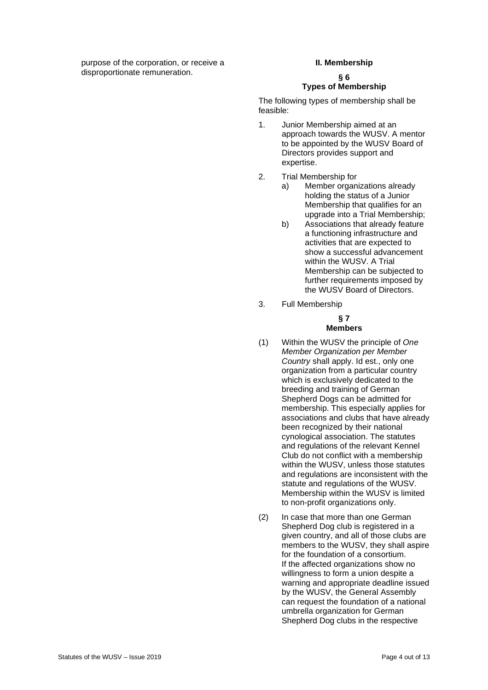purpose of the corporation, or receive a disproportionate remuneration.

#### **II. Membership**

## **§ 6**

**Types of Membership** 

The following types of membership shall be feasible:

- 1. Junior Membership aimed at an approach towards the WUSV. A mentor to be appointed by the WUSV Board of Directors provides support and expertise.
- 2. Trial Membership for
	- a) Member organizations already holding the status of a Junior Membership that qualifies for an upgrade into a Trial Membership;
	- b) Associations that already feature a functioning infrastructure and activities that are expected to show a successful advancement within the WUSV. A Trial Membership can be subjected to further requirements imposed by the WUSV Board of Directors.
- 3. Full Membership

#### **§ 7 Members**

- (1) Within the WUSV the principle of *One Member Organization per Member Country* shall apply. Id est., only one organization from a particular country which is exclusively dedicated to the breeding and training of German Shepherd Dogs can be admitted for membership. This especially applies for associations and clubs that have already been recognized by their national cynological association. The statutes and regulations of the relevant Kennel Club do not conflict with a membership within the WUSV, unless those statutes and regulations are inconsistent with the statute and regulations of the WUSV. Membership within the WUSV is limited to non-profit organizations only.
- (2) In case that more than one German Shepherd Dog club is registered in a given country, and all of those clubs are members to the WUSV, they shall aspire for the foundation of a consortium. If the affected organizations show no willingness to form a union despite a warning and appropriate deadline issued by the WUSV, the General Assembly can request the foundation of a national umbrella organization for German Shepherd Dog clubs in the respective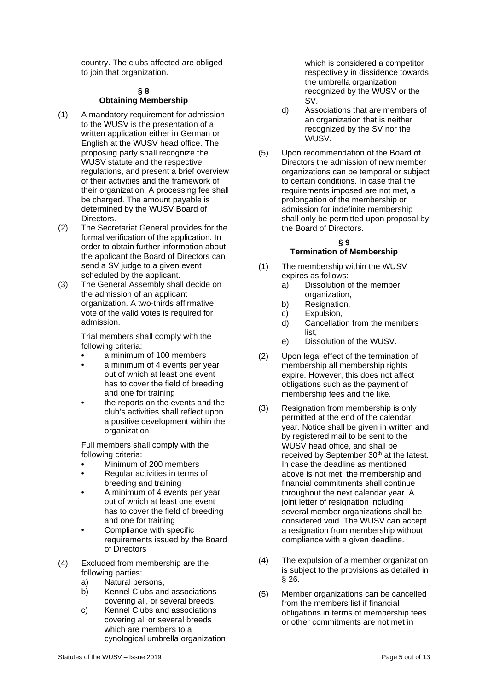country. The clubs affected are obliged to join that organization.

#### **§ 8 Obtaining Membership**

- (1) A mandatory requirement for admission to the WUSV is the presentation of a written application either in German or English at the WUSV head office. The proposing party shall recognize the WUSV statute and the respective regulations, and present a brief overview of their activities and the framework of their organization. A processing fee shall be charged. The amount payable is determined by the WUSV Board of Directors.
- (2) The Secretariat General provides for the formal verification of the application. In order to obtain further information about the applicant the Board of Directors can send a SV judge to a given event scheduled by the applicant.
- (3) The General Assembly shall decide on the admission of an applicant organization. A two-thirds affirmative vote of the valid votes is required for admission.

Trial members shall comply with the following criteria:

- a minimum of 100 members
- a minimum of 4 events per year out of which at least one event has to cover the field of breeding and one for training
- the reports on the events and the club's activities shall reflect upon a positive development within the organization

Full members shall comply with the following criteria:

- Minimum of 200 members
- Regular activities in terms of breeding and training
- A minimum of 4 events per year out of which at least one event has to cover the field of breeding and one for training
- Compliance with specific requirements issued by the Board of Directors
- (4) Excluded from membership are the following parties:
	- a) Natural persons,
	- b) Kennel Clubs and associations covering all, or several breeds,
	- c) Kennel Clubs and associations covering all or several breeds which are members to a cynological umbrella organization

which is considered a competitor respectively in dissidence towards the umbrella organization recognized by the WUSV or the SV.

- d) Associations that are members of an organization that is neither recognized by the SV nor the WUSV.
- (5) Upon recommendation of the Board of Directors the admission of new member organizations can be temporal or subject to certain conditions. In case that the requirements imposed are not met, a prolongation of the membership or admission for indefinite membership shall only be permitted upon proposal by the Board of Directors.

#### **§ 9**

#### **Termination of Membership**

- (1) The membership within the WUSV expires as follows:<br>a) Dissolution o
	- Dissolution of the member organization,
	- b) Resignation,
	- c) Expulsion,<br>d) Cancellation
	- Cancellation from the members list,
	- e) Dissolution of the WUSV.
- (2) Upon legal effect of the termination of membership all membership rights expire. However, this does not affect obligations such as the payment of membership fees and the like.
- (3) Resignation from membership is only permitted at the end of the calendar year. Notice shall be given in written and by registered mail to be sent to the WUSV head office, and shall be received by September 30<sup>th</sup> at the latest. In case the deadline as mentioned above is not met, the membership and financial commitments shall continue throughout the next calendar year. A joint letter of resignation including several member organizations shall be considered void. The WUSV can accept a resignation from membership without compliance with a given deadline.
- (4) The expulsion of a member organization is subject to the provisions as detailed in § 26.
- (5) Member organizations can be cancelled from the members list if financial obligations in terms of membership fees or other commitments are not met in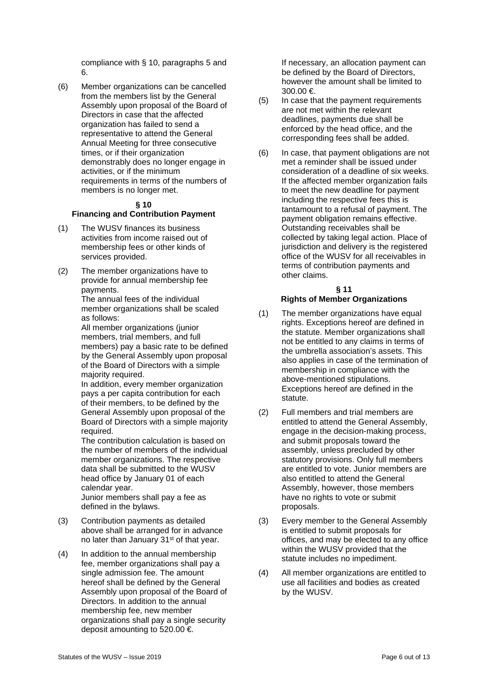compliance with § 10, paragraphs 5 and 6.

(6) Member organizations can be cancelled from the members list by the General Assembly upon proposal of the Board of Directors in case that the affected organization has failed to send a representative to attend the General Annual Meeting for three consecutive times, or if their organization demonstrably does no longer engage in activities, or if the minimum requirements in terms of the numbers of members is no longer met.

#### **§ 10**

#### **Financing and Contribution Payment**

- (1) The WUSV finances its business activities from income raised out of membership fees or other kinds of services provided.
- (2) The member organizations have to provide for annual membership fee payments.

The annual fees of the individual member organizations shall be scaled as follows:

All member organizations (junior members, trial members, and full members) pay a basic rate to be defined by the General Assembly upon proposal of the Board of Directors with a simple majority required.

In addition, every member organization pays a per capita contribution for each of their members, to be defined by the General Assembly upon proposal of the Board of Directors with a simple majority required.

The contribution calculation is based on the number of members of the individual member organizations. The respective data shall be submitted to the WUSV head office by January 01 of each calendar year.

Junior members shall pay a fee as defined in the bylaws.

- (3) Contribution payments as detailed above shall be arranged for in advance no later than January 31<sup>st</sup> of that year.
- (4) In addition to the annual membership fee, member organizations shall pay a single admission fee. The amount hereof shall be defined by the General Assembly upon proposal of the Board of Directors. In addition to the annual membership fee, new member organizations shall pay a single security deposit amounting to 520.00 €.

If necessary, an allocation payment can be defined by the Board of Directors, however the amount shall be limited to 300.00 €.

- (5) In case that the payment requirements are not met within the relevant deadlines, payments due shall be enforced by the head office, and the corresponding fees shall be added.
- (6) In case, that payment obligations are not met a reminder shall be issued under consideration of a deadline of six weeks. If the affected member organization fails to meet the new deadline for payment including the respective fees this is tantamount to a refusal of payment. The payment obligation remains effective. Outstanding receivables shall be collected by taking legal action. Place of jurisdiction and delivery is the registered office of the WUSV for all receivables in terms of contribution payments and other claims.

#### **§ 11 Rights of Member Organizations**

- (1) The member organizations have equal rights. Exceptions hereof are defined in the statute. Member organizations shall not be entitled to any claims in terms of the umbrella association's assets. This also applies in case of the termination of membership in compliance with the above-mentioned stipulations. Exceptions hereof are defined in the statute.
- (2) Full members and trial members are entitled to attend the General Assembly, engage in the decision-making process, and submit proposals toward the assembly, unless precluded by other statutory provisions. Only full members are entitled to vote. Junior members are also entitled to attend the General Assembly, however, those members have no rights to vote or submit proposals.
- (3) Every member to the General Assembly is entitled to submit proposals for offices, and may be elected to any office within the WUSV provided that the statute includes no impediment.
- (4) All member organizations are entitled to use all facilities and bodies as created by the WUSV.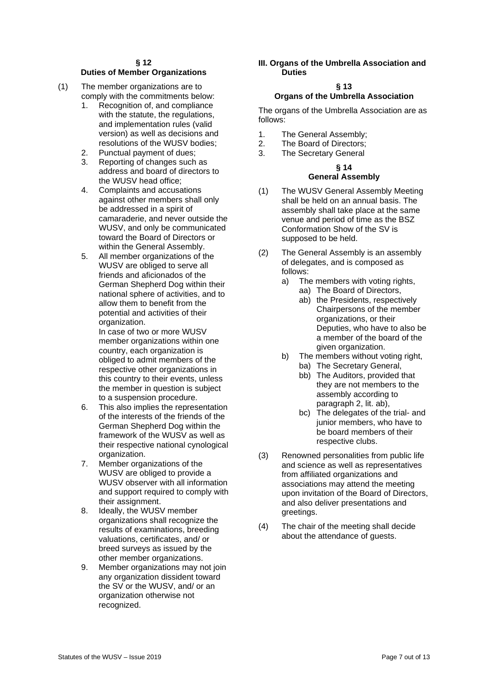#### **§ 12**

#### **Duties of Member Organizations**

- (1) The member organizations are to comply with the commitments below:<br>1. Recognition of and compliance
	- Recognition of, and compliance with the statute, the regulations, and implementation rules (valid version) as well as decisions and resolutions of the WUSV bodies;
	- 2. Punctual payment of dues;<br>3. Reporting of changes such
	- Reporting of changes such as address and board of directors to the WUSV head office;
	- 4. Complaints and accusations against other members shall only be addressed in a spirit of camaraderie, and never outside the WUSV, and only be communicated toward the Board of Directors or within the General Assembly.
	- 5. All member organizations of the WUSV are obliged to serve all friends and aficionados of the German Shepherd Dog within their national sphere of activities, and to allow them to benefit from the potential and activities of their organization.

In case of two or more WUSV member organizations within one country, each organization is obliged to admit members of the respective other organizations in this country to their events, unless the member in question is subject to a suspension procedure.

- 6. This also implies the representation of the interests of the friends of the German Shepherd Dog within the framework of the WUSV as well as their respective national cynological organization.
- 7. Member organizations of the WUSV are obliged to provide a WUSV observer with all information and support required to comply with their assignment.
- 8. Ideally, the WUSV member organizations shall recognize the results of examinations, breeding valuations, certificates, and/ or breed surveys as issued by the other member organizations.
- 9. Member organizations may not join any organization dissident toward the SV or the WUSV, and/ or an organization otherwise not recognized.

#### **III. Organs of the Umbrella Association and Duties**

#### **§ 13**

#### **Organs of the Umbrella Association**

The organs of the Umbrella Association are as follows:

- 1. The General Assembly;<br>2. The Board of Directors:
- The Board of Directors;
- 3. The Secretary General

#### **§ 14 General Assembly**

#### (1) The WUSV General Assembly Meeting shall be held on an annual basis. The assembly shall take place at the same venue and period of time as the BSZ Conformation Show of the SV is supposed to be held.

- (2) The General Assembly is an assembly of delegates, and is composed as follows:
	- a) The members with voting rights,
		- aa) The Board of Directors,
		- ab) the Presidents, respectively Chairpersons of the member organizations, or their Deputies, who have to also be a member of the board of the given organization.
	- b) The members without voting right,
		- ba) The Secretary General,
			- bb) The Auditors, provided that they are not members to the assembly according to paragraph 2, lit. ab),
			- bc) The delegates of the trial- and junior members, who have to be board members of their respective clubs.
- (3) Renowned personalities from public life and science as well as representatives from affiliated organizations and associations may attend the meeting upon invitation of the Board of Directors, and also deliver presentations and greetings.
- (4) The chair of the meeting shall decide about the attendance of guests.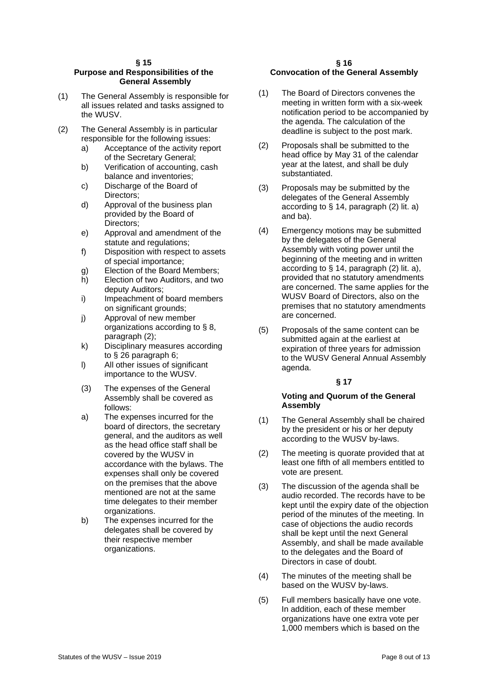#### **Purpose and Responsibilities of the General Assembly**

- (1) The General Assembly is responsible for all issues related and tasks assigned to the WUSV.
- (2) The General Assembly is in particular responsible for the following issues:
	- a) Acceptance of the activity report of the Secretary General;
	- b) Verification of accounting, cash balance and inventories;
	- c) Discharge of the Board of Directors;
	- d) Approval of the business plan provided by the Board of Directors;
	- e) Approval and amendment of the statute and regulations;
	- f) Disposition with respect to assets of special importance;
	- g) Election of the Board Members;
	- h) Election of two Auditors, and two deputy Auditors;
	- i) Impeachment of board members on significant grounds;
	- j) Approval of new member organizations according to § 8, paragraph (2);
	- k) Disciplinary measures according to § 26 paragraph 6;
	- l) All other issues of significant importance to the WUSV.
	- (3) The expenses of the General Assembly shall be covered as follows:
	- a) The expenses incurred for the board of directors, the secretary general, and the auditors as well as the head office staff shall be covered by the WUSV in accordance with the bylaws. The expenses shall only be covered on the premises that the above mentioned are not at the same time delegates to their member organizations.
	- b) The expenses incurred for the delegates shall be covered by their respective member organizations.

#### **§ 16 Convocation of the General Assembly**

- (1) The Board of Directors convenes the meeting in written form with a six-week notification period to be accompanied by the agenda. The calculation of the deadline is subject to the post mark.
- (2) Proposals shall be submitted to the head office by May 31 of the calendar year at the latest, and shall be duly substantiated.
- (3) Proposals may be submitted by the delegates of the General Assembly according to § 14, paragraph (2) lit. a) and ba).
- (4) Emergency motions may be submitted by the delegates of the General Assembly with voting power until the beginning of the meeting and in written according to § 14, paragraph (2) lit. a), provided that no statutory amendments are concerned. The same applies for the WUSV Board of Directors, also on the premises that no statutory amendments are concerned.
- (5) Proposals of the same content can be submitted again at the earliest at expiration of three years for admission to the WUSV General Annual Assembly agenda.

#### **§ 17**

#### **Voting and Quorum of the General Assembly**

- (1) The General Assembly shall be chaired by the president or his or her deputy according to the WUSV by-laws.
- (2) The meeting is quorate provided that at least one fifth of all members entitled to vote are present.
- (3) The discussion of the agenda shall be audio recorded. The records have to be kept until the expiry date of the objection period of the minutes of the meeting. In case of objections the audio records shall be kept until the next General Assembly, and shall be made available to the delegates and the Board of Directors in case of doubt.
- (4) The minutes of the meeting shall be based on the WUSV by-laws.
- (5) Full members basically have one vote. In addition, each of these member organizations have one extra vote per 1,000 members which is based on the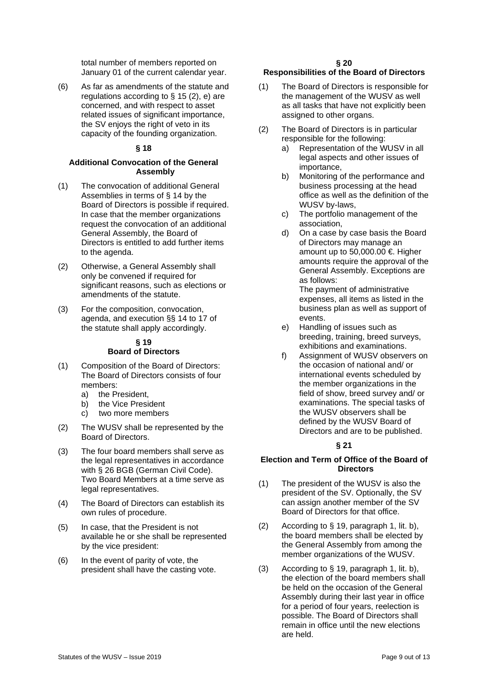total number of members reported on January 01 of the current calendar year.

(6) As far as amendments of the statute and regulations according to  $\S$  15 (2), e) are concerned, and with respect to asset related issues of significant importance, the SV enjoys the right of veto in its capacity of the founding organization.

#### **§ 18**

#### **Additional Convocation of the General Assembly**

- (1) The convocation of additional General Assemblies in terms of § 14 by the Board of Directors is possible if required. In case that the member organizations request the convocation of an additional General Assembly, the Board of Directors is entitled to add further items to the agenda.
- (2) Otherwise, a General Assembly shall only be convened if required for significant reasons, such as elections or amendments of the statute.
- (3) For the composition, convocation, agenda, and execution §§ 14 to 17 of the statute shall apply accordingly.

#### **§ 19 Board of Directors**

- (1) Composition of the Board of Directors: The Board of Directors consists of four members:
	- a) the President,
	- b) the Vice President
	- c) two more members
- (2) The WUSV shall be represented by the Board of Directors.
- (3) The four board members shall serve as the legal representatives in accordance with § 26 BGB (German Civil Code). Two Board Members at a time serve as legal representatives.
- (4) The Board of Directors can establish its own rules of procedure.
- (5) In case, that the President is not available he or she shall be represented by the vice president:
- (6) In the event of parity of vote, the president shall have the casting vote.

#### **§ 20**

#### **Responsibilities of the Board of Directors**

- (1) The Board of Directors is responsible for the management of the WUSV as well as all tasks that have not explicitly been assigned to other organs.
- (2) The Board of Directors is in particular responsible for the following:
	- a) Representation of the WUSV in all legal aspects and other issues of importance,
	- b) Monitoring of the performance and business processing at the head office as well as the definition of the WUSV by-laws,
	- c) The portfolio management of the association,
	- d) On a case by case basis the Board of Directors may manage an amount up to 50,000.00  $\epsilon$ . Higher amounts require the approval of the General Assembly. Exceptions are as follows:

The payment of administrative expenses, all items as listed in the business plan as well as support of events.

- e) Handling of issues such as breeding, training, breed surveys, exhibitions and examinations.
- f) Assignment of WUSV observers on the occasion of national and/ or international events scheduled by the member organizations in the field of show, breed survey and/ or examinations. The special tasks of the WUSV observers shall be defined by the WUSV Board of Directors and are to be published.

#### **§ 21**

#### **Election and Term of Office of the Board of Directors**

- (1) The president of the WUSV is also the president of the SV. Optionally, the SV can assign another member of the SV Board of Directors for that office.
- (2) According to § 19, paragraph 1, lit. b), the board members shall be elected by the General Assembly from among the member organizations of the WUSV.
- (3) According to § 19, paragraph 1, lit. b), the election of the board members shall be held on the occasion of the General Assembly during their last year in office for a period of four years, reelection is possible. The Board of Directors shall remain in office until the new elections are held.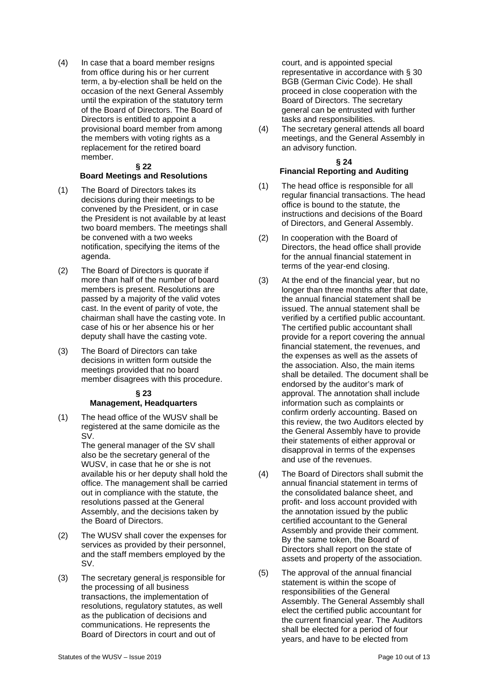(4) In case that a board member resigns from office during his or her current term, a by-election shall be held on the occasion of the next General Assembly until the expiration of the statutory term of the Board of Directors. The Board of Directors is entitled to appoint a provisional board member from among the members with voting rights as a replacement for the retired board member.

#### **§ 22**

#### **Board Meetings and Resolutions**

- (1) The Board of Directors takes its decisions during their meetings to be convened by the President, or in case the President is not available by at least two board members. The meetings shall be convened with a two weeks notification, specifying the items of the agenda.
- (2) The Board of Directors is quorate if more than half of the number of board members is present. Resolutions are passed by a majority of the valid votes cast. In the event of parity of vote, the chairman shall have the casting vote. In case of his or her absence his or her deputy shall have the casting vote.
- (3) The Board of Directors can take decisions in written form outside the meetings provided that no board member disagrees with this procedure.

#### **§ 23 Management, Headquarters**

(1) The head office of the WUSV shall be registered at the same domicile as the SV.

> The general manager of the SV shall also be the secretary general of the WUSV, in case that he or she is not available his or her deputy shall hold the office. The management shall be carried out in compliance with the statute, the resolutions passed at the General Assembly, and the decisions taken by the Board of Directors.

- (2) The WUSV shall cover the expenses for services as provided by their personnel, and the staff members employed by the SV.
- (3) The secretary general is responsible for the processing of all business transactions, the implementation of resolutions, regulatory statutes, as well as the publication of decisions and communications. He represents the Board of Directors in court and out of

court, and is appointed special representative in accordance with § 30 BGB (German Civic Code). He shall proceed in close cooperation with the Board of Directors. The secretary general can be entrusted with further tasks and responsibilities.

(4) The secretary general attends all board meetings, and the General Assembly in an advisory function.

#### **§ 24**

#### **Financial Reporting and Auditing**

- (1) The head office is responsible for all regular financial transactions. The head office is bound to the statute, the instructions and decisions of the Board of Directors, and General Assembly.
- (2) In cooperation with the Board of Directors, the head office shall provide for the annual financial statement in terms of the year-end closing.
- (3) At the end of the financial year, but no longer than three months after that date, the annual financial statement shall be issued. The annual statement shall be verified by a certified public accountant. The certified public accountant shall provide for a report covering the annual financial statement, the revenues, and the expenses as well as the assets of the association. Also, the main items shall be detailed. The document shall be endorsed by the auditor's mark of approval. The annotation shall include information such as complaints or confirm orderly accounting. Based on this review, the two Auditors elected by the General Assembly have to provide their statements of either approval or disapproval in terms of the expenses and use of the revenues.
- (4) The Board of Directors shall submit the annual financial statement in terms of the consolidated balance sheet, and profit- and loss account provided with the annotation issued by the public certified accountant to the General Assembly and provide their comment. By the same token, the Board of Directors shall report on the state of assets and property of the association.
- (5) The approval of the annual financial statement is within the scope of responsibilities of the General Assembly. The General Assembly shall elect the certified public accountant for the current financial year. The Auditors shall be elected for a period of four years, and have to be elected from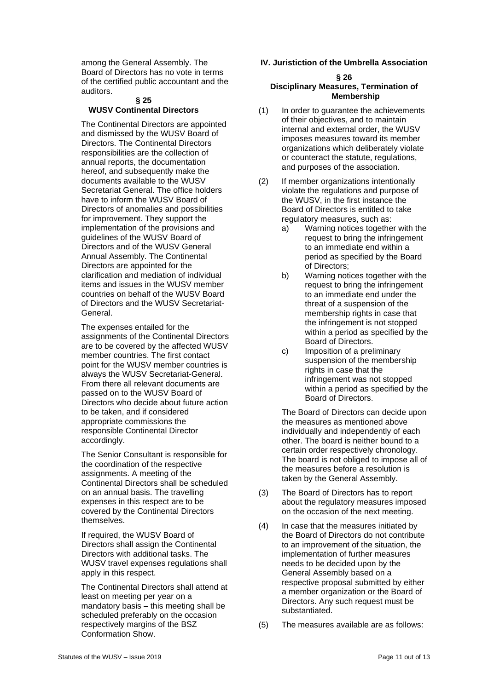among the General Assembly. The Board of Directors has no vote in terms of the certified public accountant and the auditors.

#### **§ 25 WUSV Continental Directors**

The Continental Directors are appointed and dismissed by the WUSV Board of Directors. The Continental Directors responsibilities are the collection of annual reports, the documentation hereof, and subsequently make the documents available to the WUSV Secretariat General. The office holders have to inform the WUSV Board of Directors of anomalies and possibilities for improvement. They support the implementation of the provisions and guidelines of the WUSV Board of Directors and of the WUSV General Annual Assembly. The Continental Directors are appointed for the clarification and mediation of individual items and issues in the WUSV member countries on behalf of the WUSV Board of Directors and the WUSV Secretariat-General.

The expenses entailed for the assignments of the Continental Directors are to be covered by the affected WUSV member countries. The first contact point for the WUSV member countries is always the WUSV Secretariat-General. From there all relevant documents are passed on to the WUSV Board of Directors who decide about future action to be taken, and if considered appropriate commissions the responsible Continental Director accordingly.

The Senior Consultant is responsible for the coordination of the respective assignments. A meeting of the Continental Directors shall be scheduled on an annual basis. The travelling expenses in this respect are to be covered by the Continental Directors themselves.

If required, the WUSV Board of Directors shall assign the Continental Directors with additional tasks. The WUSV travel expenses regulations shall apply in this respect.

The Continental Directors shall attend at least on meeting per year on a mandatory basis – this meeting shall be scheduled preferably on the occasion respectively margins of the BSZ Conformation Show.

#### **IV. Juristiction of the Umbrella Association**

#### **§ 26 Disciplinary Measures, Termination of Membership**

- (1) In order to guarantee the achievements of their objectives, and to maintain internal and external order, the WUSV imposes measures toward its member organizations which deliberately violate or counteract the statute, regulations, and purposes of the association.
- (2) If member organizations intentionally violate the regulations and purpose of the WUSV, in the first instance the Board of Directors is entitled to take regulatory measures, such as:<br>a) Warning notices togethe
	- Warning notices together with the request to bring the infringement to an immediate end within a period as specified by the Board of Directors;
	- b) Warning notices together with the request to bring the infringement to an immediate end under the threat of a suspension of the membership rights in case that the infringement is not stopped within a period as specified by the Board of Directors.
	- c) Imposition of a preliminary suspension of the membership rights in case that the infringement was not stopped within a period as specified by the Board of Directors.

The Board of Directors can decide upon the measures as mentioned above individually and independently of each other. The board is neither bound to a certain order respectively chronology. The board is not obliged to impose all of the measures before a resolution is taken by the General Assembly.

- (3) The Board of Directors has to report about the regulatory measures imposed on the occasion of the next meeting.
- (4) In case that the measures initiated by the Board of Directors do not contribute to an improvement of the situation, the implementation of further measures needs to be decided upon by the General Assembly based on a respective proposal submitted by either a member organization or the Board of Directors. Any such request must be substantiated.
- (5) The measures available are as follows: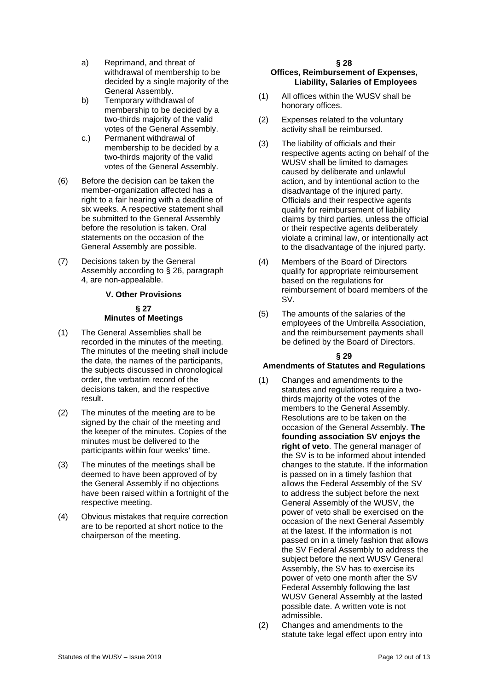- a) Reprimand, and threat of withdrawal of membership to be decided by a single majority of the General Assembly.
- b) Temporary withdrawal of membership to be decided by a two-thirds majority of the valid votes of the General Assembly.
- c.) Permanent withdrawal of membership to be decided by a two-thirds majority of the valid votes of the General Assembly.
- (6) Before the decision can be taken the member-organization affected has a right to a fair hearing with a deadline of six weeks. A respective statement shall be submitted to the General Assembly before the resolution is taken. Oral statements on the occasion of the General Assembly are possible.
- (7) Decisions taken by the General Assembly according to § 26, paragraph 4, are non-appealable.

#### **V. Other Provisions**

#### **§ 27 Minutes of Meetings**

- (1) The General Assemblies shall be recorded in the minutes of the meeting. The minutes of the meeting shall include the date, the names of the participants, the subjects discussed in chronological order, the verbatim record of the decisions taken, and the respective result.
- (2) The minutes of the meeting are to be signed by the chair of the meeting and the keeper of the minutes. Copies of the minutes must be delivered to the participants within four weeks' time.
- (3) The minutes of the meetings shall be deemed to have been approved of by the General Assembly if no objections have been raised within a fortnight of the respective meeting.
- (4) Obvious mistakes that require correction are to be reported at short notice to the chairperson of the meeting.

### **§ 28**

#### **Offices, Reimbursement of Expenses, Liability, Salaries of Employees**

- (1) All offices within the WUSV shall be honorary offices.
- (2) Expenses related to the voluntary activity shall be reimbursed.
- (3) The liability of officials and their respective agents acting on behalf of the WUSV shall be limited to damages caused by deliberate and unlawful action, and by intentional action to the disadvantage of the injured party. Officials and their respective agents qualify for reimbursement of liability claims by third parties, unless the official or their respective agents deliberately violate a criminal law, or intentionally act to the disadvantage of the injured party.
- (4) Members of the Board of Directors qualify for appropriate reimbursement based on the regulations for reimbursement of board members of the SV.
- (5) The amounts of the salaries of the employees of the Umbrella Association, and the reimbursement payments shall be defined by the Board of Directors.

#### **§ 29**

#### **Amendments of Statutes and Regulations**

- (1) Changes and amendments to the statutes and regulations require a twothirds majority of the votes of the members to the General Assembly. Resolutions are to be taken on the occasion of the General Assembly. **The founding association SV enjoys the right of veto**. The general manager of the SV is to be informed about intended changes to the statute. If the information is passed on in a timely fashion that allows the Federal Assembly of the SV to address the subject before the next General Assembly of the WUSV, the power of veto shall be exercised on the occasion of the next General Assembly at the latest. If the information is not passed on in a timely fashion that allows the SV Federal Assembly to address the subject before the next WUSV General Assembly, the SV has to exercise its power of veto one month after the SV Federal Assembly following the last WUSV General Assembly at the lasted possible date. A written vote is not admissible.
- (2) Changes and amendments to the statute take legal effect upon entry into